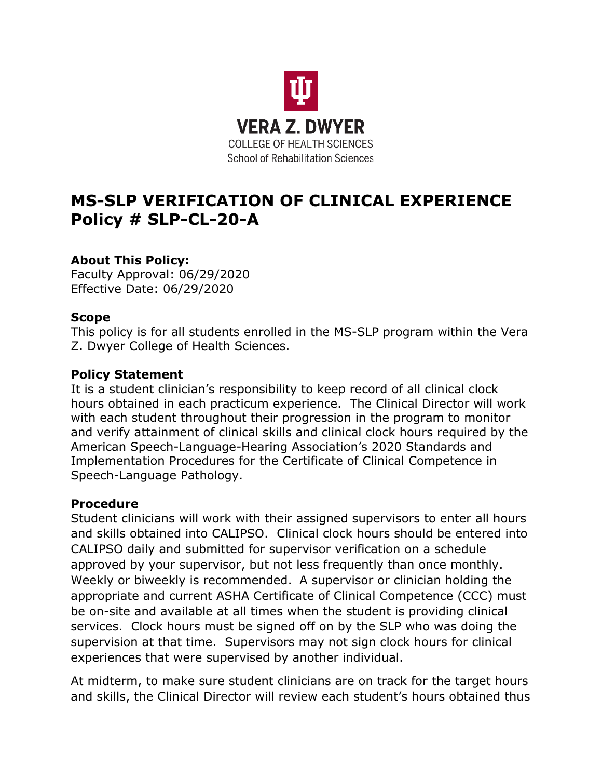

# **MS-SLP VERIFICATION OF CLINICAL EXPERIENCE Policy # SLP-CL-20-A**

## **About This Policy:**

Faculty Approval: 06/29/2020 Effective Date: 06/29/2020

## **Scope**

This policy is for all students enrolled in the MS-SLP program within the Vera Z. Dwyer College of Health Sciences.

#### **Policy Statement**

It is a student clinician's responsibility to keep record of all clinical clock hours obtained in each practicum experience. The Clinical Director will work with each student throughout their progression in the program to monitor and verify attainment of clinical skills and clinical clock hours required by the American Speech-Language-Hearing Association's 2020 Standards and Implementation Procedures for the Certificate of Clinical Competence in Speech-Language Pathology.

#### **Procedure**

Student clinicians will work with their assigned supervisors to enter all hours and skills obtained into CALIPSO. Clinical clock hours should be entered into CALIPSO daily and submitted for supervisor verification on a schedule approved by your supervisor, but not less frequently than once monthly. Weekly or biweekly is recommended. A supervisor or clinician holding the appropriate and current ASHA Certificate of Clinical Competence (CCC) must be on-site and available at all times when the student is providing clinical services. Clock hours must be signed off on by the SLP who was doing the supervision at that time. Supervisors may not sign clock hours for clinical experiences that were supervised by another individual.

At midterm, to make sure student clinicians are on track for the target hours and skills, the Clinical Director will review each student's hours obtained thus